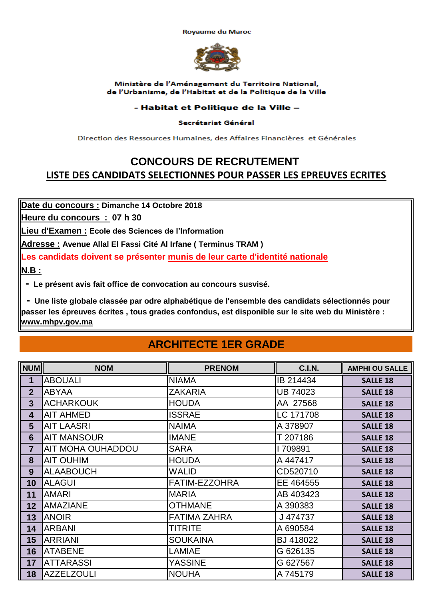**Royaume du Maroc** 



Ministère de l'Aménagement du Territoire National, de l'Urbanisme, de l'Habitat et de la Politique de la Ville

### - Habitat et Politique de la Ville -

#### Secrétariat Général

Direction des Ressources Humaines, des Affaires Financières et Générales

### **CONCOURS DE RECRUTEMENT LISTE DES CANDIDATS SELECTIONNES POUR PASSER LES EPREUVES ECRITES**

**Date du concours : Dimanche 14 Octobre 2018**

**Heure du concours : 07 h 30**

**Lieu d'Examen : Ecole des Sciences de l'Information**

**Adresse : Avenue Allal El Fassi Cité Al Irfane ( Terminus TRAM )** 

**Les candidats doivent se présenter munis de leur carte d'identité nationale**

**N.B :**

 **- Le présent avis fait office de convocation au concours susvisé.**

 **- Une liste globale classée par odre alphabétique de l'ensemble des candidats sélectionnés pour passer les épreuves écrites , tous grades confondus, est disponible sur le site web du Ministère : www.mhpv.gov.ma**

## **ARCHITECTE 1ER GRADE**

| <b>NUM</b>              | <b>NOM</b>               | <b>PRENOM</b>       | <b>C.I.N.</b> | <b>AMPHI OU SALLE</b> |
|-------------------------|--------------------------|---------------------|---------------|-----------------------|
| 1                       | <b>ABOUALI</b>           | <b>NIAMA</b>        | IB 214434     | <b>SALLE 18</b>       |
| $\overline{2}$          | <b>ABYAA</b>             | <b>ZAKARIA</b>      | UB 74023      | <b>SALLE 18</b>       |
| $\overline{3}$          | <b>ACHARKOUK</b>         | <b>HOUDA</b>        | AA 27568      | <b>SALLE 18</b>       |
| $\overline{\mathbf{4}}$ | <b>AIT AHMED</b>         | <b>ISSRAE</b>       | LC 171708     | <b>SALLE 18</b>       |
| 5                       | <b>AIT LAASRI</b>        | <b>NAIMA</b>        | A 378907      | <b>SALLE 18</b>       |
| $6\phantom{1}6$         | <b>AIT MANSOUR</b>       | <b>IMANE</b>        | T 207186      | <b>SALLE 18</b>       |
| 7                       | <b>AIT MOHA OUHADDOU</b> | <b>SARA</b>         | 709891        | <b>SALLE 18</b>       |
| 8                       | <b>AIT OUHIM</b>         | <b>HOUDA</b>        | A 447417      | <b>SALLE 18</b>       |
| 9                       | <b>ALAABOUCH</b>         | <b>WALID</b>        | CD520710      | <b>SALLE 18</b>       |
| 10                      | <b>ALAGUI</b>            | FATIM-EZZOHRA       | EE 464555     | <b>SALLE 18</b>       |
| 11                      | <b>AMARI</b>             | <b>MARIA</b>        | AB 403423     | <b>SALLE 18</b>       |
| 12                      | AMAZIANE                 | <b>OTHMANE</b>      | A 390383      | <b>SALLE 18</b>       |
| 13                      | <b>ANOIR</b>             | <b>FATIMA ZAHRA</b> | J 474737      | <b>SALLE 18</b>       |
| 14                      | <b>ARBANI</b>            | <b>TITRITE</b>      | A 690584      | <b>SALLE 18</b>       |
| 15                      | <b>ARRIANI</b>           | <b>SOUKAINA</b>     | BJ 418022     | <b>SALLE 18</b>       |
| 16                      | <b>ATABENE</b>           | <b>LAMIAE</b>       | G 626135      | <b>SALLE 18</b>       |
| 17                      | <b>ATTARASSI</b>         | <b>YASSINE</b>      | G 627567      | <b>SALLE 18</b>       |
| 18                      | <b>AZZELZOULI</b>        | <b>NOUHA</b>        | A 745179      | <b>SALLE 18</b>       |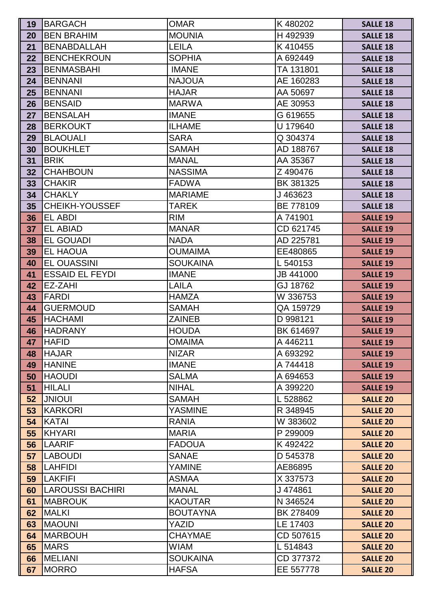| 19              | <b>BARGACH</b>          | <b>OMAR</b>     | K480202   | <b>SALLE 18</b> |
|-----------------|-------------------------|-----------------|-----------|-----------------|
| 20              | <b>BEN BRAHIM</b>       | <b>MOUNIA</b>   | H492939   | <b>SALLE 18</b> |
| 21              | <b>BENABDALLAH</b>      | <b>LEILA</b>    | K410455   | <b>SALLE 18</b> |
| 22              | <b>BENCHEKROUN</b>      | <b>SOPHIA</b>   | A 692449  | <b>SALLE 18</b> |
| 23              | <b>BENMASBAHI</b>       | <b>IMANE</b>    | TA 131801 | <b>SALLE 18</b> |
| 24              | <b>BENNANI</b>          | <b>NAJOUA</b>   | AE 160283 | <b>SALLE 18</b> |
| 25              | <b>BENNANI</b>          | <b>HAJAR</b>    | AA 50697  | <b>SALLE 18</b> |
| 26              | <b>BENSAID</b>          | <b>MARWA</b>    | AE 30953  | <b>SALLE 18</b> |
| 27              | <b>BENSALAH</b>         | <b>IMANE</b>    | G 619655  | <b>SALLE 18</b> |
| 28              | <b>BERKOUKT</b>         | <b>ILHAME</b>   | U 179640  | <b>SALLE 18</b> |
| 29              | <b>BLAOUALI</b>         | <b>SARA</b>     | Q 304374  | <b>SALLE 18</b> |
| 30              | <b>BOUKHLET</b>         | <b>SAMAH</b>    | AD 188767 | <b>SALLE 18</b> |
| 31              | <b>BRIK</b>             | <b>MANAL</b>    | AA 35367  | <b>SALLE 18</b> |
| 32              | <b>CHAHBOUN</b>         | <b>NASSIMA</b>  | Z 490476  | <b>SALLE 18</b> |
| 33              | <b>CHAKIR</b>           | <b>FADWA</b>    | BK 381325 | <b>SALLE 18</b> |
| 34              | <b>CHAKLY</b>           | <b>MARIAME</b>  | J463623   | <b>SALLE 18</b> |
| 35 <sub>5</sub> | CHEIKH-YOUSSEF          | <b>TAREK</b>    | BE 778109 | <b>SALLE 18</b> |
| 36              | <b>EL ABDI</b>          | <b>RIM</b>      | A 741901  | <b>SALLE 19</b> |
| 37 <sup>2</sup> | <b>EL ABIAD</b>         | <b>MANAR</b>    | CD 621745 | <b>SALLE 19</b> |
| 38              | <b>EL GOUADI</b>        | <b>NADA</b>     | AD 225781 | <b>SALLE 19</b> |
| 39              | <b>EL HAOUA</b>         | <b>OUMAIMA</b>  | EE480865  | <b>SALLE 19</b> |
| 40              | <b>EL OUASSINI</b>      | <b>SOUKAINA</b> | L 540153  | <b>SALLE 19</b> |
| 41              | <b>ESSAID EL FEYDI</b>  | <b>IMANE</b>    | JB 441000 | <b>SALLE 19</b> |
| 42              | EZ-ZAHI                 | LAILA           | GJ 18762  | <b>SALLE 19</b> |
| 43              | <b>FARDI</b>            | <b>HAMZA</b>    | W 336753  | <b>SALLE 19</b> |
| 44              | <b>GUERMOUD</b>         | <b>SAMAH</b>    | QA 159729 | <b>SALLE 19</b> |
| 45              | <b>HACHAMI</b>          | <b>ZAINEB</b>   | D 998121  | <b>SALLE 19</b> |
| 46              | <b>HADRANY</b>          | <b>HOUDA</b>    | BK 614697 | <b>SALLE 19</b> |
| 47              | <b>HAFID</b>            | <b>OMAIMA</b>   | A 446211  | <b>SALLE 19</b> |
| 48              | <b>HAJAR</b>            | <b>NIZAR</b>    | A 693292  | <b>SALLE 19</b> |
| 49              | <b>HANINE</b>           | <b>IMANE</b>    | A 744418  | <b>SALLE 19</b> |
| 50              | <b>HAOUDI</b>           | <b>SALMA</b>    | A 694653  | <b>SALLE 19</b> |
| 51              | <b>HILALI</b>           | <b>NIHAL</b>    | A 399220  | <b>SALLE 19</b> |
| 52              | <b>JNIOUI</b>           | <b>SAMAH</b>    | L 528862  | <b>SALLE 20</b> |
| 53              | <b>KARKORI</b>          | <b>YASMINE</b>  | R 348945  | <b>SALLE 20</b> |
| 54              | <b>KATAI</b>            | <b>RANIA</b>    | W 383602  | <b>SALLE 20</b> |
| 55              | <b>KHYARI</b>           | <b>MARIA</b>    | P 299009  | <b>SALLE 20</b> |
| 56              | <b>LAARIF</b>           | <b>FADOUA</b>   | K492422   | <b>SALLE 20</b> |
| 57              | <b>LABOUDI</b>          | <b>SANAE</b>    | D 545378  | <b>SALLE 20</b> |
| 58              | <b>LAHFIDI</b>          | <b>YAMINE</b>   | AE86895   | <b>SALLE 20</b> |
| 59              | <b>LAKFIFI</b>          | <b>ASMAA</b>    | X 337573  | <b>SALLE 20</b> |
| 60              | <b>LAROUSSI BACHIRI</b> | <b>MANAL</b>    | J474861   | <b>SALLE 20</b> |
| 61              | <b>MABROUK</b>          | <b>KAOUTAR</b>  | N 346524  | <b>SALLE 20</b> |
| 62              | <b>MALKI</b>            | <b>BOUTAYNA</b> | BK 278409 | <b>SALLE 20</b> |
| 63              | <b>MAOUNI</b>           | YAZID           | LE 17403  | <b>SALLE 20</b> |
| 64              | <b>MARBOUH</b>          | <b>CHAYMAE</b>  | CD 507615 | <b>SALLE 20</b> |
| 65              | <b>MARS</b>             | <b>WIAM</b>     | L 514843  | <b>SALLE 20</b> |
| 66              | <b>MELIANI</b>          | <b>SOUKAINA</b> | CD 377372 | <b>SALLE 20</b> |
| 67              | <b>MORRO</b>            | <b>HAFSA</b>    | EE 557778 | <b>SALLE 20</b> |